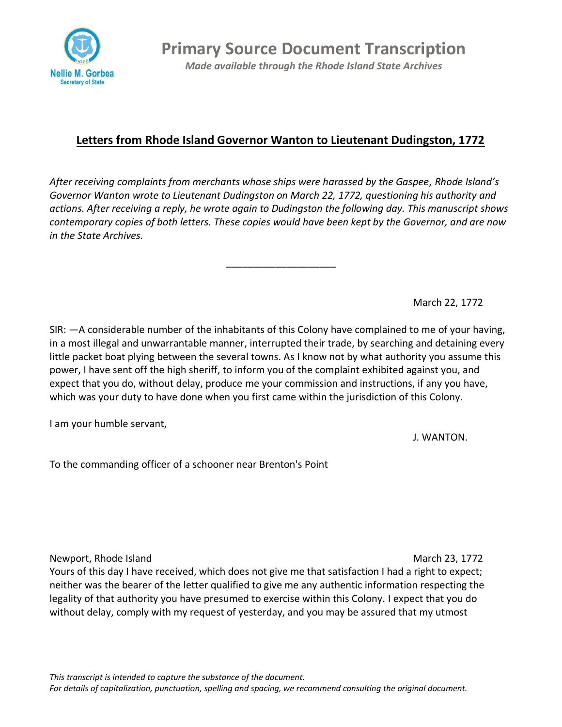

**Primary Source Document Transcription** *Made available through the Rhode Island State Archives*

## **Letters from Rhode Island Governor Wanton to Lieutenant Dudingston, 1772**

*After receiving complaints from merchants whose ships were harassed by the Gaspee, Rhode Island's Governor Wanton wrote to Lieutenant Dudingston on March 22, 1772, questioning his authority and actions. After receiving a reply, he wrote again to Dudingston the following day. This manuscript shows contemporary copies of both letters. These copies would have been kept by the Governor, and are now in the State Archives.* 

\_\_\_\_\_\_\_\_\_\_\_\_\_\_\_\_\_\_\_\_

March 22, 1772

SIR: —A considerable number of the inhabitants of this Colony have complained to me of your having, in a most illegal and unwarrantable manner, interrupted their trade, by searching and detaining every little packet boat plying between the several towns. As I know not by what authority you assume this power, I have sent off the high sheriff, to inform you of the complaint exhibited against you, and expect that you do, without delay, produce me your commission and instructions, if any you have, which was your duty to have done when you first came within the jurisdiction of this Colony.

I am your humble servant,

J. WANTON.

To the commanding officer of a schooner near Brenton's Point

Newport, Rhode Island March 23, 1772

Yours of this day I have received, which does not give me that satisfaction I had a right to expect; neither was the bearer of the letter qualified to give me any authentic information respecting the legality of that authority you have presumed to exercise within this Colony. I expect that you do without delay, comply with my request of yesterday, and you may be assured that my utmost